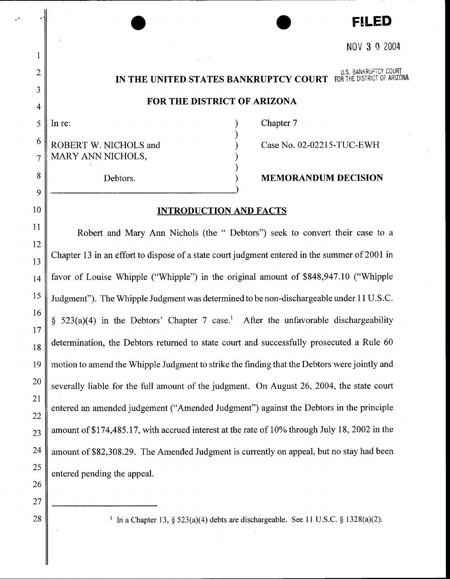# • • **FILED**  NOV 3 0 2004

#### U.S. BANKRUPTCY COURT **IN THE UNITED STATES BANKRUPTCY COURT** fOR THE DISTRICT OF ARIZONA

# **FOR THE DISTRICT OF ARIZONA**

) ) ) ) )

 $5 \parallel \text{In} \text{ re:}$  )

1

2

3

4

8

9

10

11

12

13

15

16

17

21

25

26

27

28

 $6 \nparallel$  ROBERT W. NICHOLS and  $7$  MARY ANN NICHOLS,

Chapter 7

Case No. 02-02215-TUC-EWH

# Debtors. **MEMORANDUM DECISION**

## **INTRODUCTION AND FACTS**

Robert and Mary Ann Nichols (the " Debtors") seek to convert their case to a Chapter 13 in an effort to dispose of a state court judgment entered in the summer of 2001 in 14 favor of Louise Whipple ("Whipple") in the original amount of \$848,947.10 ("Whipple Judgment"). The Whipple Judgment was determined to be non-dischargeable under 11 U.S.C.  $\S$  523(a)(4) in the Debtors' Chapter 7 case.<sup>1</sup> After the unfavorable dischargeability  $18$  determination, the Debtors returned to state court and successfully prosecuted a Rule 60 19 motion to amend the Whipple Judgment to strike the finding that the Debtors were jointly and  $20 \parallel$  severally liable for the full amount of the judgment. On August 26, 2004, the state court entered an amended judgement ("Amended Judgment") against the Debtors in the principle  $22$  $23$  amount of \$174,485.17, with accrued interest at the rate of 10% through July 18, 2002 in the  $24$  amount of \$82,308.29. The Amended Judgment is currently on appeal, but no stay had been entered pending the appeal.

<sup>1</sup> In a Chapter 13, § 523(a)(4) debts are dischargeable. See 11 U.S.C. § 1328(a)(2).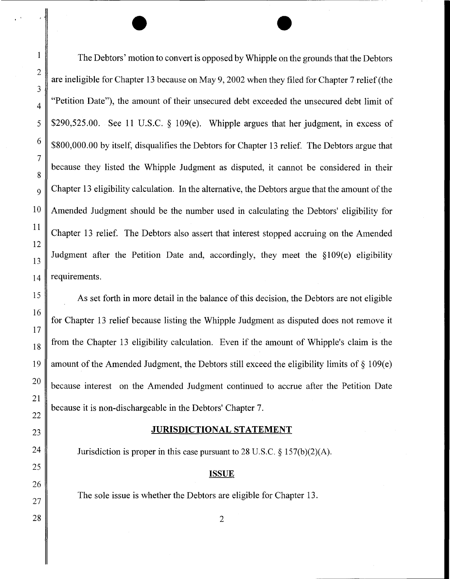The Debtors' motion to convert is opposed by Whipple on the grounds that the Debtors are ineligible for Chapter 13 because on May 9, 2002 when they filed for Chapter 7 relief (the "Petition Date"), the amount of their unsecured debt exceeded the unsecured debt limit of \$290,525.00. See 11 U.S.C. § 109 $(e)$ . Whipple argues that her judgment, in excess of \$800,000.00 by itself, disqualifies the Debtors for Chapter 13 relief. The Debtors argue that because they listed the Whipple Judgment as disputed, it cannot be considered in their Chapter 13 eligibility calculation. In the alternative, the Debtors argue that the amount of the 10 Amended Judgment should be the number used in calculating the Debtors' eligibility for Chapter 13 relief. The Debtors also assert that interest stopped accruing on the Amended Judgment after the Petition Date and, accordingly, they meet the  $$109(e)$  eligibility  $14 \parallel$  requirements.

 $\bullet$ 

As set forth in more detail in the balance of this decision, the Debtors are not eligible for Chapter 13 relief because listing the Whipple Judgment as disputed does not remove it from the Chapter 13 eligibility calculation. Even if the amount of Whipple's claim is the amount of the Amended Judgment, the Debtors still exceed the eligibility limits of  $\S$  109(e)  $20 \parallel$  because interest on the Amended Judgment continued to accrue after the Petition Date because it is non-dischargeable in the Debtors' Chapter 7.

## **JURISDICTIONAL STATEMENT**

Jurisdiction is proper in this case pursuant to 28 U.S.C. § 157(b)(2)(A).

#### **ISSUE**

2

The sole issue is whether the Debtors are eligible for Chapter 13.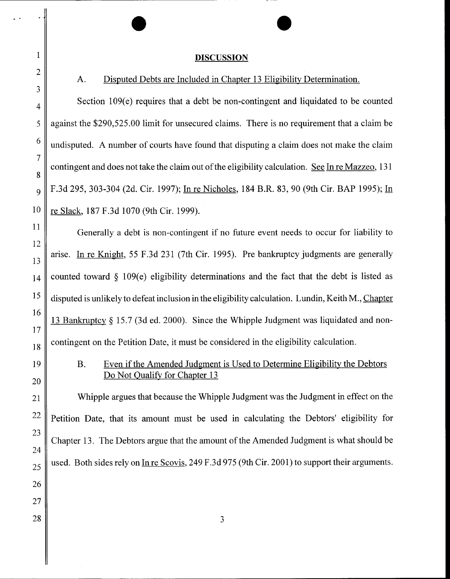# $\bullet$ **DISCUSSION**

# A. Disputed Debts are Included in Chapter 13 Eligibility Determination.

Section 109(e) requires that a debt be non-contingent and liquidated to be counted against the \$290,525.00 limit for unsecured claims. There is no requirement that a claim be  $6 \parallel$  undisputed. A number of courts have found that disputing a claim does not make the claim contingent and does not take the claim out of the eligibility calculation. See In re Mazzeo, 131  $_{9}$  | F.3d 295, 303-304 (2d. Cir. 1997); In re Nicholes, 184 B.R. 83, 90 (9th Cir. BAP 1995); In 10 | re Slack, 187 F.3d 1070 (9th Cir. 1999).

Generally a debt is non-contingent if no future event needs to occur for liability to arise. In re Knight, 55 F.3d 231 (7th Cir. 1995). Pre bankruptcy judgments are generally counted toward  $\frac{109}{e}$  eligibility determinations and the fact that the debt is listed as disputed is unlikely to defeat inclusion in the eligibility calculation. Lundin, Keith M., Chapter 13 Bankruptcy§ 15.7 (3d ed. 2000). Since the Whipple Judgment was liquidated and noncontingent on the Petition Date, it must be considered in the eligibility calculation.

# B. Even if the Amended Judgment is Used to Determine Eligibility the Debtors Do Not Qualify for Chapter 13

21 Whipple argues that because the Whipple Judgment was the Judgment in effect on the  $22 \parallel$  Petition Date, that its amount must be used in calculating the Debtors' eligibility for Chapter 13. The Debtors argue that the amount of the Amended Judgment is what should be used. Both sides rely on In re Scovis, 249 F.3d 975 (9th Cir. 2001) to support their arguments.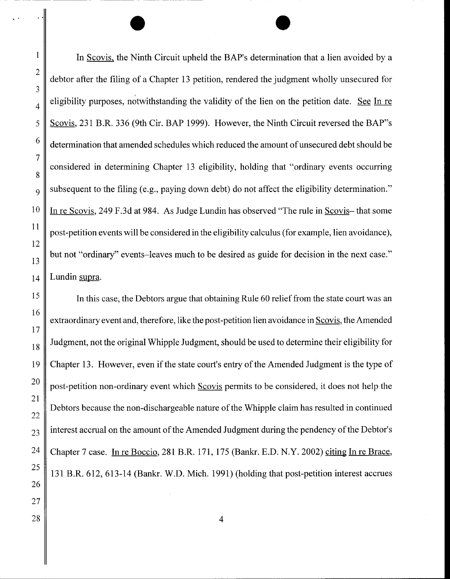In Scovis. the Ninth Circuit upheld the BAP's determination that a lien avoided by a debtor after the filing of a Chapter 13 petition, rendered the judgment wholly unsecured for ' eligibility purposes, notwithstanding the validity of the lien on the petition date. See In re Scovis, 231 B.R. 336 (9th Cir. BAP 1999). However, the Ninth Circuit reversed the BAP"s determination that amended schedules which reduced the amount of unsecured debt should be considered in determining Chapter 13 eligibility, holding that "ordinary events occurring subsequent to the filing (e.g., paying down debt) do not affect the eligibility determination." In re Scovis, 249 F.3d at 984. As Judge Lundin has observed "The rule in Scovis- that some post-petition events will be considered in the eligibility calculus (for example, lien avoidance), but not "ordinary" events-leaves much to be desired as guide for decision in the next case." Lundin supra.

 $\bullet$ 

In this case, the Debtors argue that obtaining Rule 60 relief from the state court was an extraordinary event and, therefore, like the post-petition lien avoidance in Scovis, the Amended Judgment, not the original Whipple Judgment, should be used to determine their eligibility for Chapter 13. However, even if the state court's entry of the Amended Judgment is the type of post-petition non-ordinary event which Scovis permits to be considered, it does not help the Debtors because the non-dischargeable nature of the Whipple claim has resulted in continued interest accrual on the amount of the Amended Judgment during the pendency of the Debtor's Chapter 7 case. In re Boccio, 281 B.R. 171, 175 (Bankr. E.D. N.Y. 2002) citing In re Brace, 131 B.R. 612, 613-14 (Bankr. W.D. Mich. 1991) (holding that post-petition interest accrues

4

..

1

2

3

4

5

6

7

8

9

10

11

12

13

14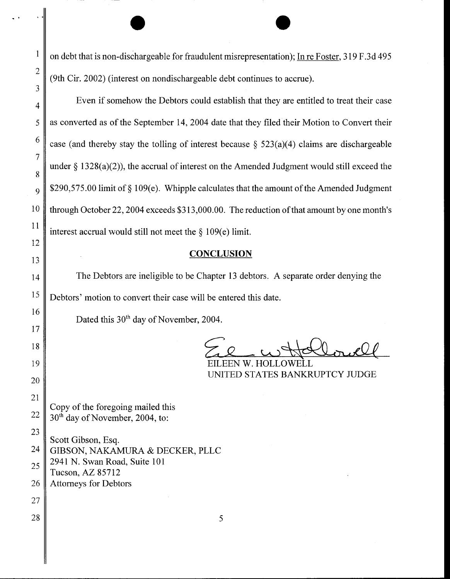$\begin{array}{|c|c|c|c|c|}\hline \quad \quad & \bullet & \bullet \end{array}$ on debt that is non-dischargeable for fraudulent misrepresentation); In re Foster, 319 F.3d 495 (9th Cir. 2002) (interest on nondischargeable debt continues to accrue).

Even if somehow the Debtors could establish that they are entitled to treat their case as converted as of the September 14, 2004 date that they filed their Motion to Convert their case (and thereby stay the tolling of interest because  $\S$  523(a)(4) claims are dischargeable under  $\S$  1328(a)(2)), the accrual of interest on the Amended Judgment would still exceed the 9  $\parallel$  \$290,575.00 limit of § 109(e). Whipple calculates that the amount of the Amended Judgment 10 through October 22, 2004 exceeds \$313,000.00. The reduction of that amount by one month's interest accrual would still not meet the  $\S 109(e)$  limit.

# **CONCLUSION**

14 The Debtors are ineligible to be Chapter 13 debtors. A separate order denying the  $15 \parallel$  Debtors' motion to convert their case will be entered this date.

Dated this 30<sup>th</sup> day of November, 2004.

EEN W. HOI UNITED STATES BANKRUPTCY JUDGE

Copy of the foregoing mailed this  $22 \parallel 30^{th}$  day of November, 2004, to:

2

3

4

5

6

7

8

11

12

13

16

17

18

19

20

21

27

23 Scott Gibson, Esq. 24 GIBSON, NAKAMURA & DECKER, PLLC  $25 \parallel 2941 \text{ N}$ . Swan Road, Suite 101 Tucson, AZ 85712 26 Attorneys for Debtors

 $28 \parallel$  5